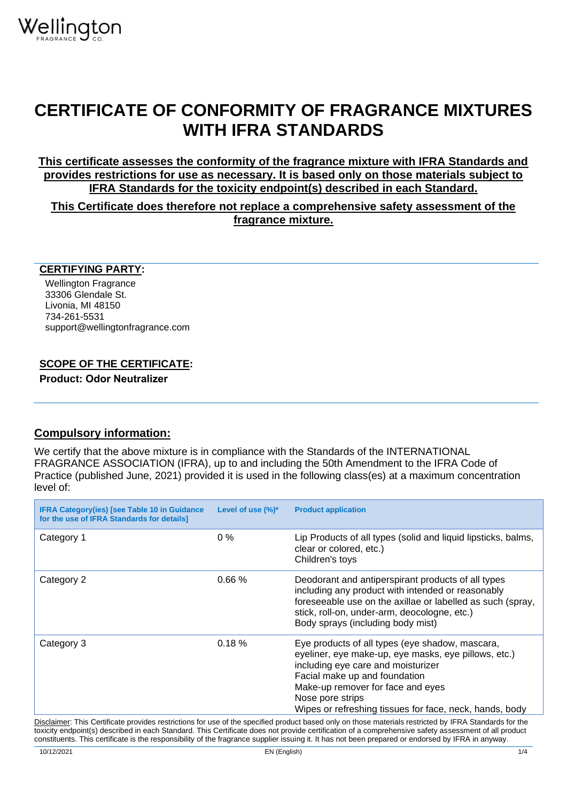## **CERTIFICATE OF CONFORMITY OF FRAGRANCE MIXTURES WITH IFRA STANDARDS**

**This certificate assesses the conformity of the fragrance mixture with IFRA Standards and provides restrictions for use as necessary. It is based only on those materials subject to IFRA Standards for the toxicity endpoint(s) described in each Standard.**

**This Certificate does therefore not replace a comprehensive safety assessment of the fragrance mixture.**

## **CERTIFYING PARTY:**

Wellington Fragrance 33306 Glendale St. Livonia, MI 48150 734-261-5531 support@wellingtonfragrance.com

## **SCOPE OF THE CERTIFICATE:**

**Product: Odor Neutralizer**

## **Compulsory information:**

We certify that the above mixture is in compliance with the Standards of the INTERNATIONAL FRAGRANCE ASSOCIATION (IFRA), up to and including the 50th Amendment to the IFRA Code of Practice (published June, 2021) provided it is used in the following class(es) at a maximum concentration level of:

| <b>IFRA Category(ies) [see Table 10 in Guidance</b><br>for the use of IFRA Standards for details] | Level of use $(\%)^*$ | <b>Product application</b>                                                                                                                                                                                                                                                                                     |  |
|---------------------------------------------------------------------------------------------------|-----------------------|----------------------------------------------------------------------------------------------------------------------------------------------------------------------------------------------------------------------------------------------------------------------------------------------------------------|--|
| Category 1                                                                                        | $0\%$                 | Lip Products of all types (solid and liquid lipsticks, balms,<br>clear or colored, etc.)<br>Children's toys                                                                                                                                                                                                    |  |
| Category 2                                                                                        | 0.66%                 | Deodorant and antiperspirant products of all types<br>including any product with intended or reasonably<br>foreseeable use on the axillae or labelled as such (spray,<br>stick, roll-on, under-arm, deocologne, etc.)<br>Body sprays (including body mist)                                                     |  |
| Category 3                                                                                        | 0.18%                 | Eye products of all types (eye shadow, mascara,<br>eyeliner, eye make-up, eye masks, eye pillows, etc.)<br>including eye care and moisturizer<br>Facial make up and foundation<br>Make-up remover for face and eyes<br>Nose pore strips<br>Wipes or refreshing tissues for face, neck, hands, body             |  |
|                                                                                                   |                       | Disclaimer: This Certificate provides restrictions for use of the specified product based only on those materials restricted by IFRA Standards for the<br>toxicity endpoint(s) described in each Standard. This Certificate does not provide certification of a comprehensive safety assessment of all product |  |

constituents. This certificate is the responsibility of the fragrance supplier issuing it. It has not been prepared or endorsed by IFRA in anyway.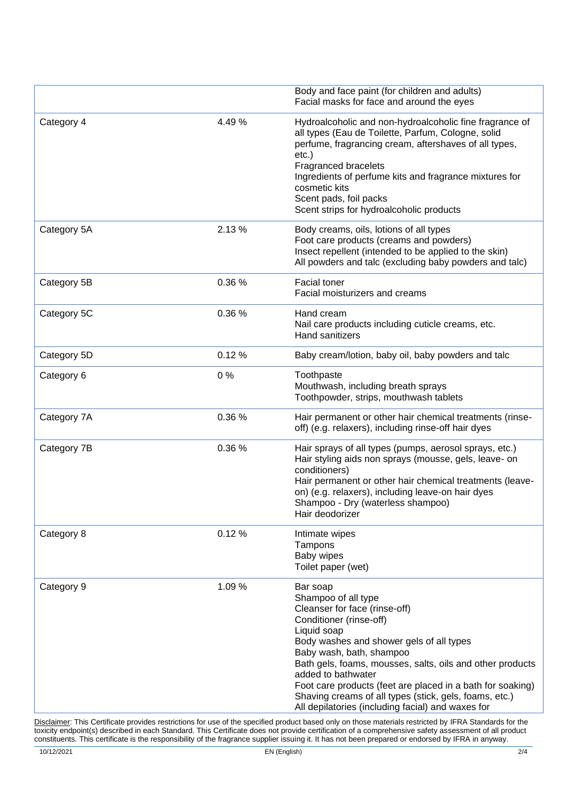|             |       | Body and face paint (for children and adults)                                                                                                                                                                                                                                                                                                                                                                                                      |  |
|-------------|-------|----------------------------------------------------------------------------------------------------------------------------------------------------------------------------------------------------------------------------------------------------------------------------------------------------------------------------------------------------------------------------------------------------------------------------------------------------|--|
|             |       | Facial masks for face and around the eyes                                                                                                                                                                                                                                                                                                                                                                                                          |  |
| Category 4  | 4.49% | Hydroalcoholic and non-hydroalcoholic fine fragrance of<br>all types (Eau de Toilette, Parfum, Cologne, solid<br>perfume, fragrancing cream, aftershaves of all types,<br>$etc.$ )<br>Fragranced bracelets<br>Ingredients of perfume kits and fragrance mixtures for<br>cosmetic kits<br>Scent pads, foil packs<br>Scent strips for hydroalcoholic products                                                                                        |  |
| Category 5A | 2.13% | Body creams, oils, lotions of all types<br>Foot care products (creams and powders)<br>Insect repellent (intended to be applied to the skin)<br>All powders and talc (excluding baby powders and talc)                                                                                                                                                                                                                                              |  |
| Category 5B | 0.36% | Facial toner<br>Facial moisturizers and creams                                                                                                                                                                                                                                                                                                                                                                                                     |  |
| Category 5C | 0.36% | Hand cream<br>Nail care products including cuticle creams, etc.<br><b>Hand sanitizers</b>                                                                                                                                                                                                                                                                                                                                                          |  |
| Category 5D | 0.12% | Baby cream/lotion, baby oil, baby powders and talc                                                                                                                                                                                                                                                                                                                                                                                                 |  |
| Category 6  | 0%    | Toothpaste<br>Mouthwash, including breath sprays<br>Toothpowder, strips, mouthwash tablets                                                                                                                                                                                                                                                                                                                                                         |  |
| Category 7A | 0.36% | Hair permanent or other hair chemical treatments (rinse-<br>off) (e.g. relaxers), including rinse-off hair dyes                                                                                                                                                                                                                                                                                                                                    |  |
| Category 7B | 0.36% | Hair sprays of all types (pumps, aerosol sprays, etc.)<br>Hair styling aids non sprays (mousse, gels, leave- on<br>conditioners)<br>Hair permanent or other hair chemical treatments (leave-<br>on) (e.g. relaxers), including leave-on hair dyes<br>Shampoo - Dry (waterless shampoo)<br>Hair deodorizer                                                                                                                                          |  |
| Category 8  | 0.12% | Intimate wipes<br>Tampons<br>Baby wipes<br>Toilet paper (wet)                                                                                                                                                                                                                                                                                                                                                                                      |  |
| Category 9  | 1.09% | Bar soap<br>Shampoo of all type<br>Cleanser for face (rinse-off)<br>Conditioner (rinse-off)<br>Liquid soap<br>Body washes and shower gels of all types<br>Baby wash, bath, shampoo<br>Bath gels, foams, mousses, salts, oils and other products<br>added to bathwater<br>Foot care products (feet are placed in a bath for soaking)<br>Shaving creams of all types (stick, gels, foams, etc.)<br>All depilatories (including facial) and waxes for |  |

Disclaimer: This Certificate provides restrictions for use of the specified product based only on those materials restricted by IFRA Standards for the toxicity endpoint(s) described in each Standard. This Certificate does not provide certification of a comprehensive safety assessment of all product constituents. This certificate is the responsibility of the fragrance supplier issuing it. It has not been prepared or endorsed by IFRA in anyway.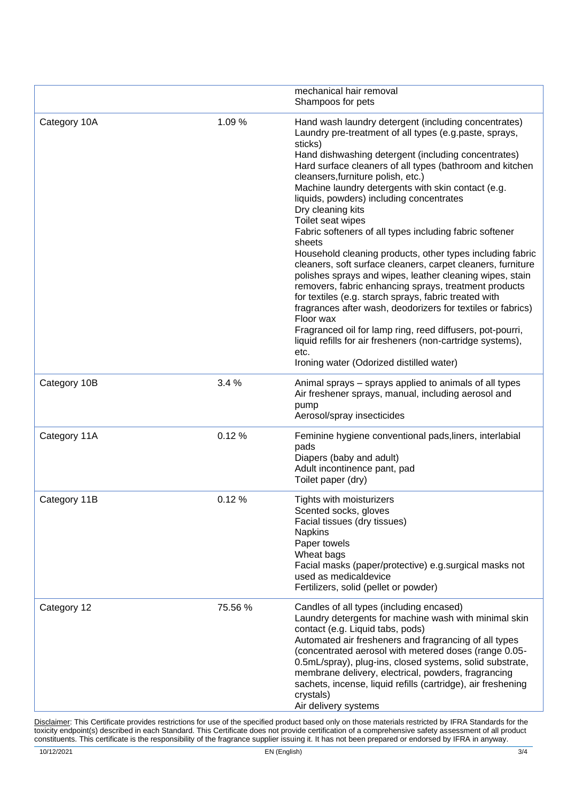|              |         | mechanical hair removal<br>Shampoos for pets                                                                                                                                                                                                                                                                                                                                                                                                                                                                                                                                                                                                                                                                                                                                                                                                                                                                                                                                                                                                                             |  |
|--------------|---------|--------------------------------------------------------------------------------------------------------------------------------------------------------------------------------------------------------------------------------------------------------------------------------------------------------------------------------------------------------------------------------------------------------------------------------------------------------------------------------------------------------------------------------------------------------------------------------------------------------------------------------------------------------------------------------------------------------------------------------------------------------------------------------------------------------------------------------------------------------------------------------------------------------------------------------------------------------------------------------------------------------------------------------------------------------------------------|--|
| Category 10A | 1.09%   | Hand wash laundry detergent (including concentrates)<br>Laundry pre-treatment of all types (e.g.paste, sprays,<br>sticks)<br>Hand dishwashing detergent (including concentrates)<br>Hard surface cleaners of all types (bathroom and kitchen<br>cleansers, furniture polish, etc.)<br>Machine laundry detergents with skin contact (e.g.<br>liquids, powders) including concentrates<br>Dry cleaning kits<br>Toilet seat wipes<br>Fabric softeners of all types including fabric softener<br>sheets<br>Household cleaning products, other types including fabric<br>cleaners, soft surface cleaners, carpet cleaners, furniture<br>polishes sprays and wipes, leather cleaning wipes, stain<br>removers, fabric enhancing sprays, treatment products<br>for textiles (e.g. starch sprays, fabric treated with<br>fragrances after wash, deodorizers for textiles or fabrics)<br>Floor wax<br>Fragranced oil for lamp ring, reed diffusers, pot-pourri,<br>liquid refills for air fresheners (non-cartridge systems),<br>etc.<br>Ironing water (Odorized distilled water) |  |
| Category 10B | 3.4%    | Animal sprays – sprays applied to animals of all types<br>Air freshener sprays, manual, including aerosol and<br>pump<br>Aerosol/spray insecticides                                                                                                                                                                                                                                                                                                                                                                                                                                                                                                                                                                                                                                                                                                                                                                                                                                                                                                                      |  |
| Category 11A | 0.12%   | Feminine hygiene conventional pads, liners, interlabial<br>pads<br>Diapers (baby and adult)<br>Adult incontinence pant, pad<br>Toilet paper (dry)                                                                                                                                                                                                                                                                                                                                                                                                                                                                                                                                                                                                                                                                                                                                                                                                                                                                                                                        |  |
| Category 11B | 0.12%   | Tights with moisturizers<br>Scented socks, gloves<br>Facial tissues (dry tissues)<br><b>Napkins</b><br>Paper towels<br>Wheat bags<br>Facial masks (paper/protective) e.g.surgical masks not<br>used as medicaldevice<br>Fertilizers, solid (pellet or powder)                                                                                                                                                                                                                                                                                                                                                                                                                                                                                                                                                                                                                                                                                                                                                                                                            |  |
| Category 12  | 75.56 % | Candles of all types (including encased)<br>Laundry detergents for machine wash with minimal skin<br>contact (e.g. Liquid tabs, pods)<br>Automated air fresheners and fragrancing of all types<br>(concentrated aerosol with metered doses (range 0.05-<br>0.5mL/spray), plug-ins, closed systems, solid substrate,<br>membrane delivery, electrical, powders, fragrancing<br>sachets, incense, liquid refills (cartridge), air freshening<br>crystals)<br>Air delivery systems                                                                                                                                                                                                                                                                                                                                                                                                                                                                                                                                                                                          |  |

Disclaimer: This Certificate provides restrictions for use of the specified product based only on those materials restricted by IFRA Standards for the toxicity endpoint(s) described in each Standard. This Certificate does not provide certification of a comprehensive safety assessment of all product constituents. This certificate is the responsibility of the fragrance supplier issuing it. It has not been prepared or endorsed by IFRA in anyway.